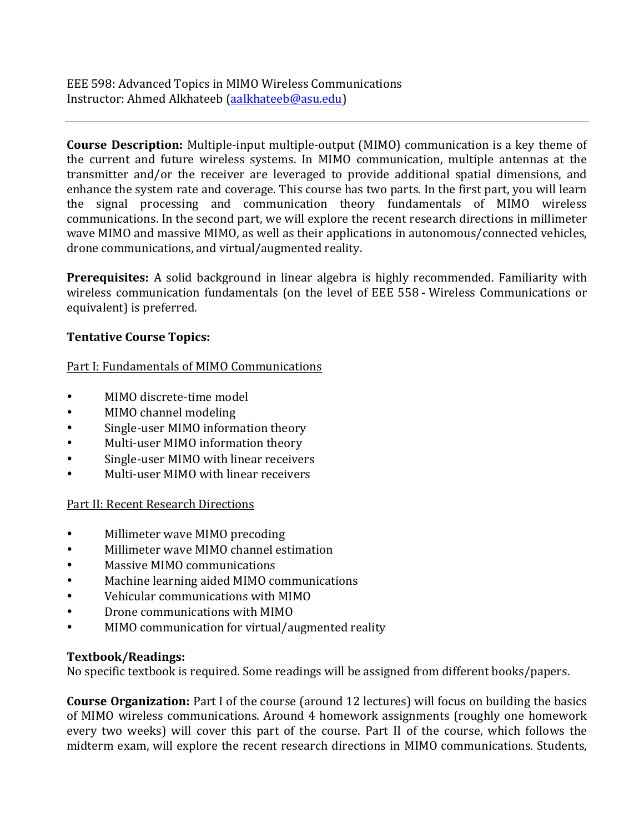EEE 598: Advanced Topics in MIMO Wireless Communications Instructor: Ahmed Alkhateeb (aalkhateeb@asu.edu)

**Course Description:** Multiple-input multiple-output (MIMO) communication is a key theme of the current and future wireless systems. In MIMO communication, multiple antennas at the transmitter and/or the receiver are leveraged to provide additional spatial dimensions, and enhance the system rate and coverage. This course has two parts. In the first part, you will learn the signal processing and communication theory fundamentals of MIMO wireless communications. In the second part, we will explore the recent research directions in millimeter wave MIMO and massive MIMO, as well as their applications in autonomous/connected vehicles, drone communications, and virtual/augmented reality.

**Prerequisites:** A solid background in linear algebra is highly recommended. Familiarity with wireless communication fundamentals (on the level of EEE 558 - Wireless Communications or equivalent) is preferred.

## **Tentative Course Topics:**

Part I: Fundamentals of MIMO Communications

- MIMO discrete-time model
- MIMO channel modeling
- Single-user MIMO information theory
- Multi-user MIMO information theory
- Single-user MIMO with linear receivers
- Multi-user MIMO with linear receivers

Part II: Recent Research Directions

- Millimeter wave MIMO precoding
- Millimeter wave MIMO channel estimation
- Massive MIMO communications
- Machine learning aided MIMO communications
- Vehicular communications with MIMO
- Drone communications with MIMO
- MIMO communication for virtual/augmented reality

## **Textbook/Readings:**

No specific textbook is required. Some readings will be assigned from different books/papers.

**Course Organization:** Part I of the course (around 12 lectures) will focus on building the basics of MIMO wireless communications. Around 4 homework assignments (roughly one homework every two weeks) will cover this part of the course. Part II of the course, which follows the midterm exam, will explore the recent research directions in MIMO communications. Students,